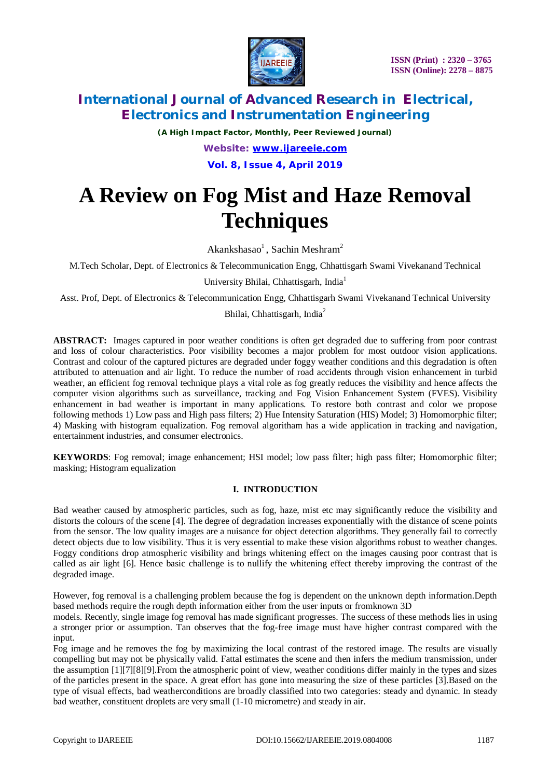

*(A High Impact Factor, Monthly, Peer Reviewed Journal) Website: [www.ijareeie.com](http://www.ijareeie.com)* **Vol. 8, Issue 4, April 2019**

# **A Review on Fog Mist and Haze Removal Techniques**

Akankshasao<sup>1</sup>, Sachin Meshram<sup>2</sup>

M.Tech Scholar, Dept. of Electronics & Telecommunication Engg, Chhattisgarh Swami Vivekanand Technical

University Bhilai, Chhattisgarh, India<sup>1</sup>

Asst. Prof, Dept. of Electronics & Telecommunication Engg, Chhattisgarh Swami Vivekanand Technical University

Bhilai, Chhattisgarh, India<sup>2</sup>

**ABSTRACT:** Images captured in poor weather conditions is often get degraded due to suffering from poor contrast and loss of colour characteristics. Poor visibility becomes a major problem for most outdoor vision applications. Contrast and colour of the captured pictures are degraded under foggy weather conditions and this degradation is often attributed to attenuation and air light. To reduce the number of road accidents through vision enhancement in turbid weather, an efficient fog removal technique plays a vital role as fog greatly reduces the visibility and hence affects the computer vision algorithms such as surveillance, tracking and Fog Vision Enhancement System (FVES). Visibility enhancement in bad weather is important in many applications. To restore both contrast and color we propose following methods 1) Low pass and High pass filters; 2) Hue Intensity Saturation (HIS) Model; 3) Homomorphic filter; 4) Masking with histogram equalization. Fog removal algoritham has a wide application in tracking and navigation, entertainment industries, and consumer electronics.

**KEYWORDS**: Fog removal; image enhancement; HSI model; low pass filter; high pass filter; Homomorphic filter; masking; Histogram equalization

### **I. INTRODUCTION**

Bad weather caused by atmospheric particles, such as fog, haze, mist etc may significantly reduce the visibility and distorts the colours of the scene [4]. The degree of degradation increases exponentially with the distance of scene points from the sensor. The low quality images are a nuisance for object detection algorithms. They generally fail to correctly detect objects due to low visibility. Thus it is very essential to make these vision algorithms robust to weather changes. Foggy conditions drop atmospheric visibility and brings whitening effect on the images causing poor contrast that is called as air light [6]. Hence basic challenge is to nullify the whitening effect thereby improving the contrast of the degraded image.

However, fog removal is a challenging problem because the fog is dependent on the unknown depth information.Depth based methods require the rough depth information either from the user inputs or fromknown 3D

models. Recently, single image fog removal has made significant progresses. The success of these methods lies in using a stronger prior or assumption. Tan observes that the fog-free image must have higher contrast compared with the input.

Fog image and he removes the fog by maximizing the local contrast of the restored image. The results are visually compelling but may not be physically valid. Fattal estimates the scene and then infers the medium transmission, under the assumption [1][7][8][9].From the atmospheric point of view, weather conditions differ mainly in the types and sizes of the particles present in the space. A great effort has gone into measuring the size of these particles [3].Based on the type of visual effects, bad weatherconditions are broadly classified into two categories: steady and dynamic. In steady bad weather, constituent droplets are very small (1-10 micrometre) and steady in air.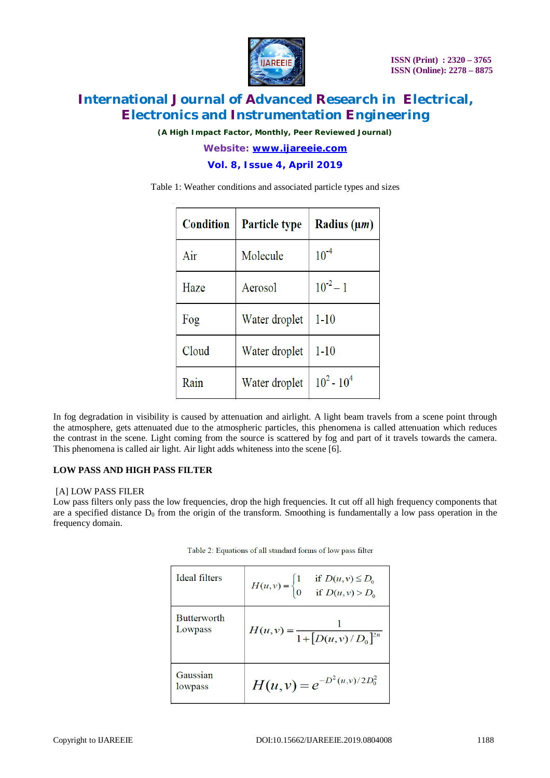

*(A High Impact Factor, Monthly, Peer Reviewed Journal)*

*Website: [www.ijareeie.com](http://www.ijareeie.com)* **Vol. 8, Issue 4, April 2019**

Table 1: Weather conditions and associated particle types and sizes

| <b>Condition</b> | <b>Particle type</b> | Radius $(\mu m)$ |
|------------------|----------------------|------------------|
| Air              | Molecule             | $10^{-4}$        |
| Haze             | Aerosol              | $10^{-2} - 1$    |
| Fog              | Water droplet        | $1 - 10$         |
| Cloud            | Water droplet        | $1 - 10$         |
| Rain             | Water droplet        | $10^2 - 10^4$    |

In fog degradation in visibility is caused by attenuation and airlight. A light beam travels from a scene point through the atmosphere, gets attenuated due to the atmospheric particles, this phenomena is called attenuation which reduces the contrast in the scene. Light coming from the source is scattered by fog and part of it travels towards the camera. This phenomena is called air light. Air light adds whiteness into the scene [6].

### **LOW PASS AND HIGH PASS FILTER**

### [A] LOW PASS FILER

Low pass filters only pass the low frequencies, drop the high frequencies. It cut off all high frequency components that are a specified distance  $D_0$  from the origin of the transform. Smoothing is fundamentally a low pass operation in the frequency domain.

| Ideal filters                 | if $D(u, v) \le D_0$<br>if $D(u, v) > D_0$<br>$H(u, v) = \begin{cases} 1 \\ 0 \end{cases}$ |
|-------------------------------|--------------------------------------------------------------------------------------------|
| <b>Butterworth</b><br>Lowpass | $H(u, v) = \frac{1}{1 + [D(u, v)/D_0]^{2n}}$                                               |
| Gaussian<br>lowpass           | $H(u, v) = e^{-D^2(u, v)/2D_0^2}$                                                          |

Table 2: Equations of all standard forms of low pass filter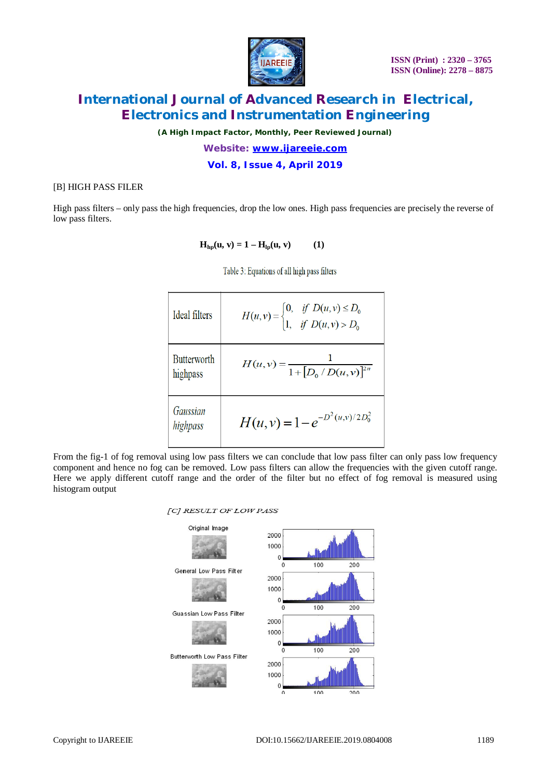

*(A High Impact Factor, Monthly, Peer Reviewed Journal)*

*Website: [www.ijareeie.com](http://www.ijareeie.com)* **Vol. 8, Issue 4, April 2019**

### [B] HIGH PASS FILER

High pass filters – only pass the high frequencies, drop the low ones. High pass frequencies are precisely the reverse of low pass filters.

 $H_{hp}(u, v) = 1 - H_{lp}(u, v)$  (1)

Table 3: Equations of all high pass filters

| Ideal filters                  | $H(u, v) =\begin{cases} 0, & \text{if } D(u, v) \le D_0 \\ 1, & \text{if } D(u, v) > D_0 \end{cases}$ |
|--------------------------------|-------------------------------------------------------------------------------------------------------|
| <b>Butterworth</b><br>highpass | $H(u, v) = \frac{1}{1 + [D_0/D(u, v)]^{2n}}$                                                          |
| Gaussian<br>highpass           | $H(u, v) = 1 - e^{-D^2(u, v)/2D_0^2}$                                                                 |

From the fig-1 of fog removal using low pass filters we can conclude that low pass filter can only pass low frequency component and hence no fog can be removed. Low pass filters can allow the frequencies with the given cutoff range. Here we apply different cutoff range and the order of the filter but no effect of fog removal is measured using histogram output

#### [C] RESULT OF LOW PASS

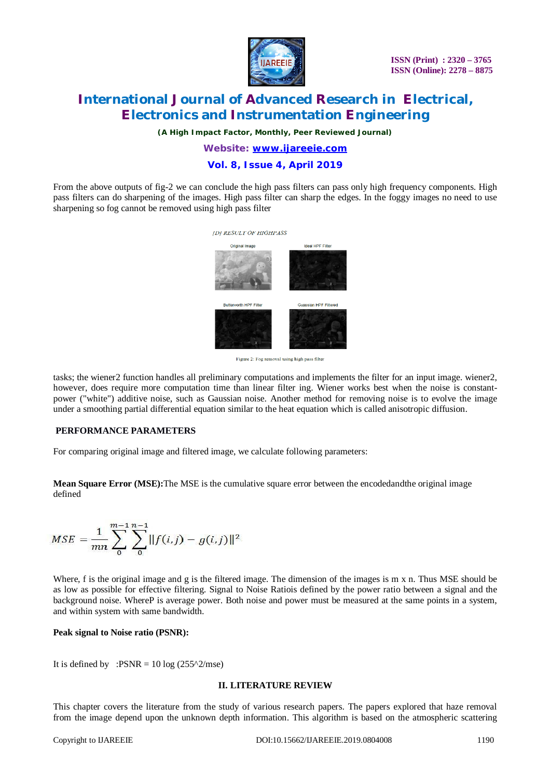

*(A High Impact Factor, Monthly, Peer Reviewed Journal)*

### *Website: [www.ijareeie.com](http://www.ijareeie.com)* **Vol. 8, Issue 4, April 2019**

From the above outputs of fig-2 we can conclude the high pass filters can pass only high frequency components. High pass filters can do sharpening of the images. High pass filter can sharp the edges. In the foggy images no need to use sharpening so fog cannot be removed using high pass filter



Figure 2: Fog removal using high pass filter

tasks; the wiener2 function handles all preliminary computations and implements the filter for an input image. wiener2, however, does require more computation time than linear filter ing. Wiener works best when the noise is constantpower ("white") additive noise, such as Gaussian noise. Another method for removing noise is to evolve the image under a smoothing partial differential equation similar to the heat equation which is called anisotropic diffusion.

### **PERFORMANCE PARAMETERS**

For comparing original image and filtered image, we calculate following parameters:

**Mean Square Error (MSE):**The MSE is the cumulative square error between the encodedandthe original image defined

$$
MSE = \frac{1}{mn} \sum_{0}^{m-1} \sum_{0}^{n-1} ||f(i,j) - g(i,j)||^2
$$

Where, f is the original image and g is the filtered image. The dimension of the images is m x n. Thus MSE should be as low as possible for effective filtering. Signal to Noise Ratiois defined by the power ratio between a signal and the background noise. WhereP is average power. Both noise and power must be measured at the same points in a system, and within system with same bandwidth.

### **Peak signal to Noise ratio (PSNR):**

It is defined by :PSNR =  $10 \log (255^{\circ}2/mse)$ 

#### **II. LITERATURE REVIEW**

This chapter covers the literature from the study of various research papers. The papers explored that haze removal from the image depend upon the unknown depth information. This algorithm is based on the atmospheric scattering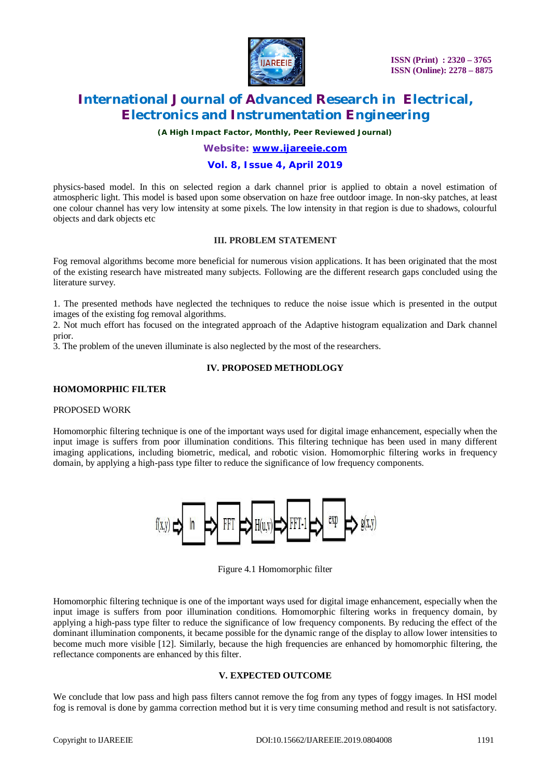

*(A High Impact Factor, Monthly, Peer Reviewed Journal)*

## *Website: [www.ijareeie.com](http://www.ijareeie.com)*

### **Vol. 8, Issue 4, April 2019**

physics-based model. In this on selected region a dark channel prior is applied to obtain a novel estimation of atmospheric light. This model is based upon some observation on haze free outdoor image. In non-sky patches, at least one colour channel has very low intensity at some pixels. The low intensity in that region is due to shadows, colourful objects and dark objects etc

### **III. PROBLEM STATEMENT**

Fog removal algorithms become more beneficial for numerous vision applications. It has been originated that the most of the existing research have mistreated many subjects. Following are the different research gaps concluded using the literature survey.

1. The presented methods have neglected the techniques to reduce the noise issue which is presented in the output images of the existing fog removal algorithms.

2. Not much effort has focused on the integrated approach of the Adaptive histogram equalization and Dark channel prior.

3. The problem of the uneven illuminate is also neglected by the most of the researchers.

### **IV. PROPOSED METHODLOGY**

#### **HOMOMORPHIC FILTER**

#### PROPOSED WORK

Homomorphic filtering technique is one of the important ways used for digital image enhancement, especially when the input image is suffers from poor illumination conditions. This filtering technique has been used in many different imaging applications, including biometric, medical, and robotic vision. Homomorphic filtering works in frequency domain, by applying a high-pass type filter to reduce the significance of low frequency components.



Figure 4.1 Homomorphic filter

Homomorphic filtering technique is one of the important ways used for digital image enhancement, especially when the input image is suffers from poor illumination conditions. Homomorphic filtering works in frequency domain, by applying a high-pass type filter to reduce the significance of low frequency components. By reducing the effect of the dominant illumination components, it became possible for the dynamic range of the display to allow lower intensities to become much more visible [12]. Similarly, because the high frequencies are enhanced by homomorphic filtering, the reflectance components are enhanced by this filter.

### **V. EXPECTED OUTCOME**

We conclude that low pass and high pass filters cannot remove the fog from any types of foggy images. In HSI model fog is removal is done by gamma correction method but it is very time consuming method and result is not satisfactory.